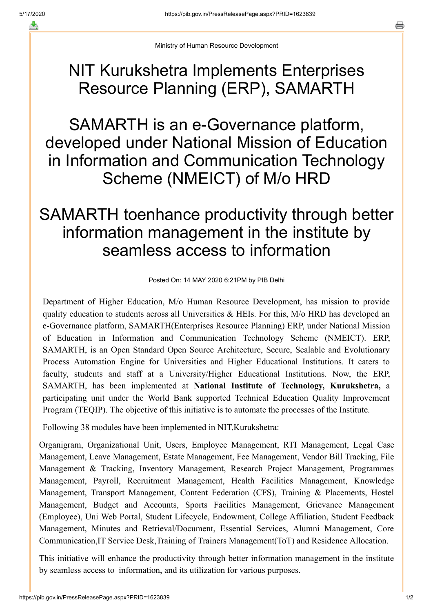Ministry of Human Resource Development

## NIT Kurukshetra Implements Enterprises Resource Planning (ERP), SAMARTH

SAMARTH is an e-Governance platform, developed under National Mission of Education in Information and Communication Technology Scheme (NMEICT) of M/o HRD

## SAMARTH toenhance productivity through better information management in the institute by seamless access to information

Posted On: 14 MAY 2020 6:21PM by PIB Delhi

Department of Higher Education, M/o Human Resource Development, has mission to provide quality education to students across all Universities & HEIs. For this, M/o HRD has developed an e-Governance platform, SAMARTH(Enterprises Resource Planning) ERP, under National Mission of Education in Information and Communication Technology Scheme (NMEICT). ERP, SAMARTH, is an Open Standard Open Source Architecture, Secure, Scalable and Evolutionary Process Automation Engine for Universities and Higher Educational Institutions. It caters to faculty, students and staff at a University/Higher Educational Institutions. Now, the ERP, SAMARTH, has been implemented at **National Institute of Technology, Kurukshetra,** a participating unit under the World Bank supported Technical Education Quality Improvement Program (TEQIP). The objective of this initiative is to automate the processes of the Institute.

Following 38 modules have been implemented in NIT,Kurukshetra:

Organigram, Organizational Unit, Users, Employee Management, RTI Management, Legal Case Management, Leave Management, Estate Management, Fee Management, Vendor Bill Tracking, File Management & Tracking, Inventory Management, Research Project Management, Programmes Management, Payroll, Recruitment Management, Health Facilities Management, Knowledge Management, Transport Management, Content Federation (CFS), Training & Placements, Hostel Management, Budget and Accounts, Sports Facilities Management, Grievance Management (Employee), Uni Web Portal, Student Lifecycle, Endowment, College Affiliation, Student Feedback Management, Minutes and Retrieval/Document, Essential Services, Alumni Management, Core Communication,IT Service Desk,Training of Trainers Management(ToT) and Residence Allocation.

This initiative will enhance the productivity through better information management in the institute by seamless access to information, and its utilization for various purposes.